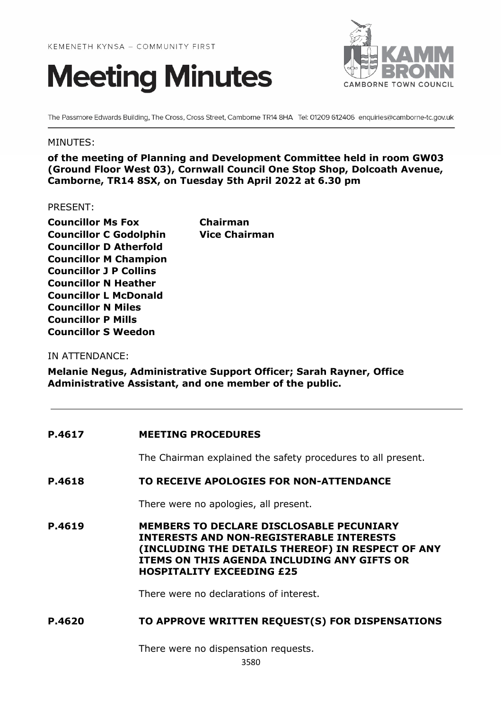



The Passmore Edwards Building, The Cross, Cross Street, Camborne TR14 8HA Tel: 01209 612406 enquiries@camborne-tc.gov.uk

#### MINUTES:

**of the meeting of Planning and Development Committee held in room GW03 (Ground Floor West 03), Cornwall Council One Stop Shop, Dolcoath Avenue, Camborne, TR14 8SX, on Tuesday 5th April 2022 at 6.30 pm**

PRESENT:

**Councillor Ms Fox Chairman Councillor C Godolphin Vice Chairman Councillor D Atherfold Councillor M Champion Councillor J P Collins Councillor N Heather Councillor L McDonald Councillor N Miles Councillor P Mills Councillor S Weedon**

IN ATTENDANCE:

**Melanie Negus, Administrative Support Officer; Sarah Rayner, Office Administrative Assistant, and one member of the public.**

| P.4617 | <b>MEETING PROCEDURES</b>                                                                                                                                                                                                                  |
|--------|--------------------------------------------------------------------------------------------------------------------------------------------------------------------------------------------------------------------------------------------|
|        | The Chairman explained the safety procedures to all present.                                                                                                                                                                               |
| P.4618 | TO RECEIVE APOLOGIES FOR NON-ATTENDANCE                                                                                                                                                                                                    |
|        | There were no apologies, all present.                                                                                                                                                                                                      |
| P.4619 | <b>MEMBERS TO DECLARE DISCLOSABLE PECUNIARY</b><br><b>INTERESTS AND NON-REGISTERABLE INTERESTS</b><br>(INCLUDING THE DETAILS THEREOF) IN RESPECT OF ANY<br>ITEMS ON THIS AGENDA INCLUDING ANY GIFTS OR<br><b>HOSPITALITY EXCEEDING £25</b> |
|        | There were no declarations of interest.                                                                                                                                                                                                    |
| P.4620 | TO APPROVE WRITTEN REQUEST(S) FOR DISPENSATIONS                                                                                                                                                                                            |

There were no dispensation requests.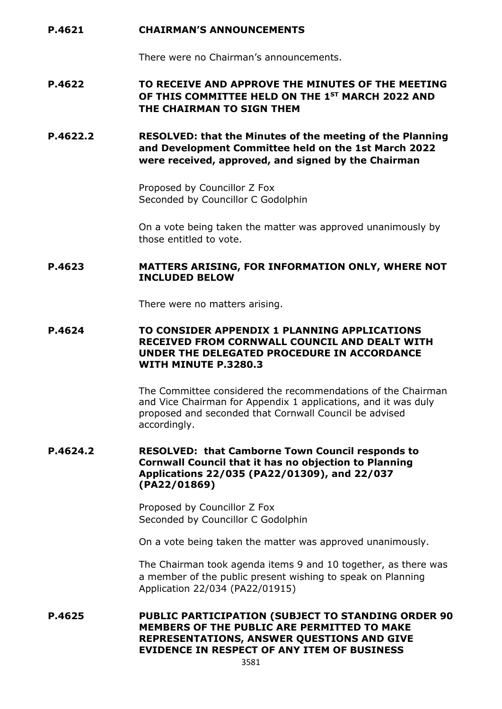#### **P.4621 CHAIRMAN'S ANNOUNCEMENTS**

There were no Chairman's announcements.

## **P.4622 TO RECEIVE AND APPROVE THE MINUTES OF THE MEETING OF THIS COMMITTEE HELD ON THE 1ST MARCH 2022 AND THE CHAIRMAN TO SIGN THEM**

**P.4622.2 RESOLVED: that the Minutes of the meeting of the Planning and Development Committee held on the 1st March 2022 were received, approved, and signed by the Chairman**

> Proposed by Councillor Z Fox Seconded by Councillor C Godolphin

On a vote being taken the matter was approved unanimously by those entitled to vote.

#### **P.4623 MATTERS ARISING, FOR INFORMATION ONLY, WHERE NOT INCLUDED BELOW**

There were no matters arising.

#### **P.4624 TO CONSIDER APPENDIX 1 PLANNING APPLICATIONS RECEIVED FROM CORNWALL COUNCIL AND DEALT WITH UNDER THE DELEGATED PROCEDURE IN ACCORDANCE WITH MINUTE P.3280.3**

The Committee considered the recommendations of the Chairman and Vice Chairman for Appendix 1 applications, and it was duly proposed and seconded that Cornwall Council be advised accordingly.

#### **P.4624.2 RESOLVED: that Camborne Town Council responds to Cornwall Council that it has no objection to Planning Applications 22/035 (PA22/01309), and 22/037 (PA22/01869)**

Proposed by Councillor Z Fox Seconded by Councillor C Godolphin

On a vote being taken the matter was approved unanimously.

The Chairman took agenda items 9 and 10 together, as there was a member of the public present wishing to speak on Planning Application 22/034 (PA22/01915)

**P.4625 PUBLIC PARTICIPATION (SUBJECT TO STANDING ORDER 90 MEMBERS OF THE PUBLIC ARE PERMITTED TO MAKE REPRESENTATIONS, ANSWER QUESTIONS AND GIVE EVIDENCE IN RESPECT OF ANY ITEM OF BUSINESS**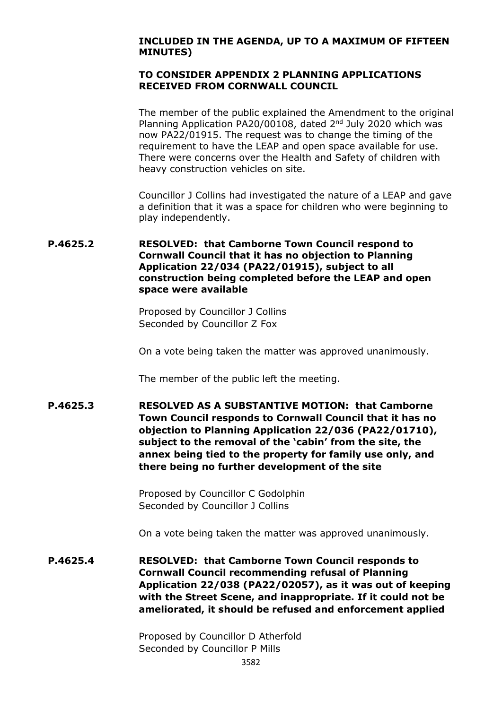#### **INCLUDED IN THE AGENDA, UP TO A MAXIMUM OF FIFTEEN MINUTES)**

#### **TO CONSIDER APPENDIX 2 PLANNING APPLICATIONS RECEIVED FROM CORNWALL COUNCIL**

The member of the public explained the Amendment to the original Planning Application PA20/00108, dated 2<sup>nd</sup> July 2020 which was now PA22/01915. The request was to change the timing of the requirement to have the LEAP and open space available for use. There were concerns over the Health and Safety of children with heavy construction vehicles on site.

Councillor J Collins had investigated the nature of a LEAP and gave a definition that it was a space for children who were beginning to play independently.

#### **P.4625.2 RESOLVED: that Camborne Town Council respond to Cornwall Council that it has no objection to Planning Application 22/034 (PA22/01915), subject to all construction being completed before the LEAP and open space were available**

Proposed by Councillor J Collins Seconded by Councillor Z Fox

On a vote being taken the matter was approved unanimously.

The member of the public left the meeting.

**P.4625.3 RESOLVED AS A SUBSTANTIVE MOTION: that Camborne Town Council responds to Cornwall Council that it has no objection to Planning Application 22/036 (PA22/01710), subject to the removal of the 'cabin' from the site, the annex being tied to the property for family use only, and there being no further development of the site**

> Proposed by Councillor C Godolphin Seconded by Councillor J Collins

On a vote being taken the matter was approved unanimously.

**P.4625.4 RESOLVED: that Camborne Town Council responds to Cornwall Council recommending refusal of Planning Application 22/038 (PA22/02057), as it was out of keeping with the Street Scene, and inappropriate. If it could not be ameliorated, it should be refused and enforcement applied**

> Proposed by Councillor D Atherfold Seconded by Councillor P Mills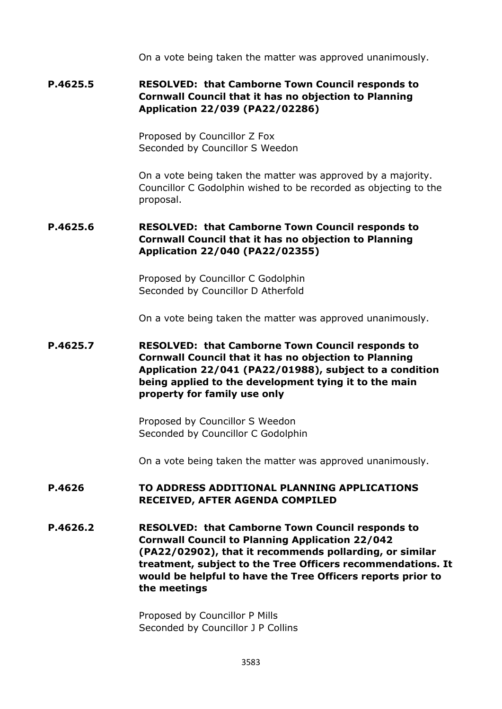On a vote being taken the matter was approved unanimously.

## **P.4625.5 RESOLVED: that Camborne Town Council responds to Cornwall Council that it has no objection to Planning Application 22/039 (PA22/02286)**

Proposed by Councillor Z Fox Seconded by Councillor S Weedon

On a vote being taken the matter was approved by a majority. Councillor C Godolphin wished to be recorded as objecting to the proposal.

## **P.4625.6 RESOLVED: that Camborne Town Council responds to Cornwall Council that it has no objection to Planning Application 22/040 (PA22/02355)**

Proposed by Councillor C Godolphin Seconded by Councillor D Atherfold

On a vote being taken the matter was approved unanimously.

## **P.4625.7 RESOLVED: that Camborne Town Council responds to Cornwall Council that it has no objection to Planning Application 22/041 (PA22/01988), subject to a condition being applied to the development tying it to the main property for family use only**

Proposed by Councillor S Weedon Seconded by Councillor C Godolphin

On a vote being taken the matter was approved unanimously.

### **P.4626 TO ADDRESS ADDITIONAL PLANNING APPLICATIONS RECEIVED, AFTER AGENDA COMPILED**

**P.4626.2 RESOLVED: that Camborne Town Council responds to Cornwall Council to Planning Application 22/042 (PA22/02902), that it recommends pollarding, or similar treatment, subject to the Tree Officers recommendations. It would be helpful to have the Tree Officers reports prior to the meetings**

> Proposed by Councillor P Mills Seconded by Councillor J P Collins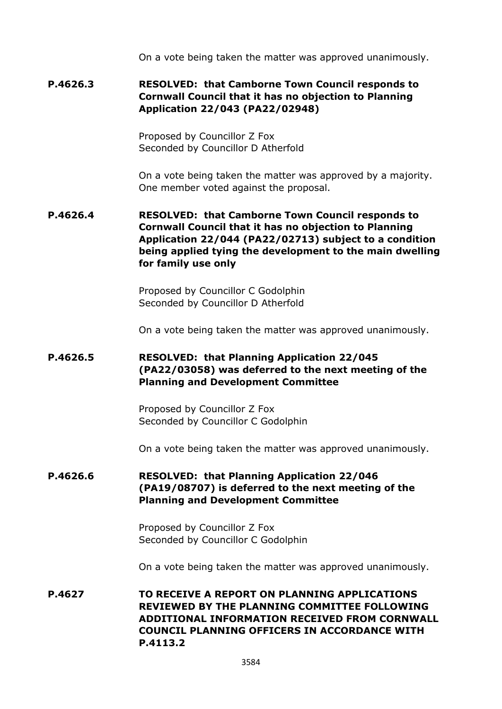On a vote being taken the matter was approved unanimously.

## **P.4626.3 RESOLVED: that Camborne Town Council responds to Cornwall Council that it has no objection to Planning Application 22/043 (PA22/02948)**

Proposed by Councillor Z Fox Seconded by Councillor D Atherfold

On a vote being taken the matter was approved by a majority. One member voted against the proposal.

**P.4626.4 RESOLVED: that Camborne Town Council responds to Cornwall Council that it has no objection to Planning Application 22/044 (PA22/02713) subject to a condition being applied tying the development to the main dwelling for family use only**

> Proposed by Councillor C Godolphin Seconded by Councillor D Atherfold

On a vote being taken the matter was approved unanimously.

## **P.4626.5 RESOLVED: that Planning Application 22/045 (PA22/03058) was deferred to the next meeting of the Planning and Development Committee**

Proposed by Councillor Z Fox Seconded by Councillor C Godolphin

On a vote being taken the matter was approved unanimously.

## **P.4626.6 RESOLVED: that Planning Application 22/046 (PA19/08707) is deferred to the next meeting of the Planning and Development Committee**

Proposed by Councillor Z Fox Seconded by Councillor C Godolphin

On a vote being taken the matter was approved unanimously.

**P.4627 TO RECEIVE A REPORT ON PLANNING APPLICATIONS REVIEWED BY THE PLANNING COMMITTEE FOLLOWING ADDITIONAL INFORMATION RECEIVED FROM CORNWALL COUNCIL PLANNING OFFICERS IN ACCORDANCE WITH P.4113.2**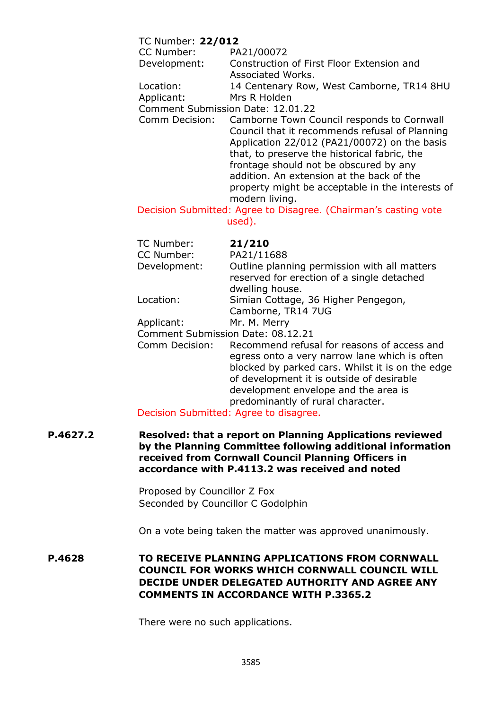### TC Number: **22/012**

| CC Number:   | PA21/00072                                |
|--------------|-------------------------------------------|
| Development: | Construction of First Floor Extension and |
|              | Associated Works.                         |
| Location:    | 14 Centenary Row, West Camborne, TR14 8HU |
| Applicant:   | Mrs R Holden                              |
|              | Commont Cubmiccion Dato: 12.01.22         |

Comment Submission Date: 12.01.22

Comm Decision: Camborne Town Council responds to Cornwall Council that it recommends refusal of Planning Application 22/012 (PA21/00072) on the basis that, to preserve the historical fabric, the frontage should not be obscured by any addition. An extension at the back of the property might be acceptable in the interests of modern living.

Decision Submitted: Agree to Disagree. (Chairman's casting vote used).

| TC Number:                        | 21/210                                       |
|-----------------------------------|----------------------------------------------|
| CC Number:                        | PA21/11688                                   |
| Development:                      | Outline planning permission with all matters |
|                                   | reserved for erection of a single detached   |
|                                   | dwelling house.                              |
| Location:                         | Simian Cottage, 36 Higher Pengegon,          |
|                                   | Camborne, TR14 7UG                           |
| Applicant:                        | Mr. M. Merry                                 |
| Comment Submission Date: 08.12.21 |                                              |
|                                   |                                              |

Comm Decision: Recommend refusal for reasons of access and egress onto a very narrow lane which is often blocked by parked cars. Whilst it is on the edge of development it is outside of desirable development envelope and the area is predominantly of rural character.

Decision Submitted: Agree to disagree.

**P.4627.2 Resolved: that a report on Planning Applications reviewed by the Planning Committee following additional information received from Cornwall Council Planning Officers in accordance with P.4113.2 was received and noted**

> Proposed by Councillor Z Fox Seconded by Councillor C Godolphin

On a vote being taken the matter was approved unanimously.

**P.4628 TO RECEIVE PLANNING APPLICATIONS FROM CORNWALL COUNCIL FOR WORKS WHICH CORNWALL COUNCIL WILL DECIDE UNDER DELEGATED AUTHORITY AND AGREE ANY COMMENTS IN ACCORDANCE WITH P.3365.2**

There were no such applications.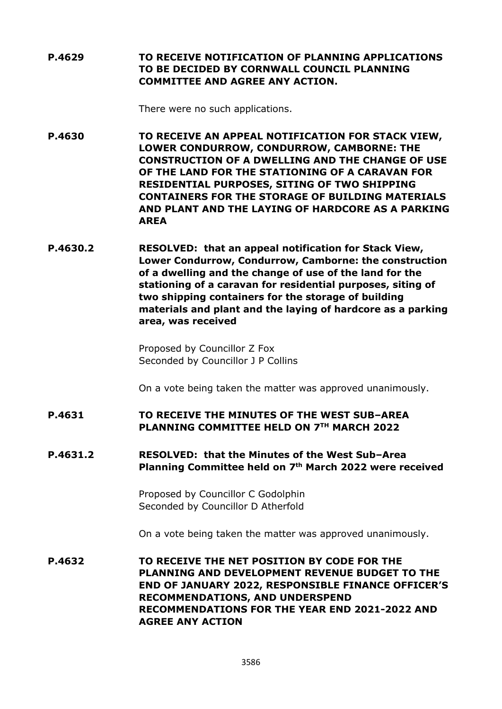**P.4629 TO RECEIVE NOTIFICATION OF PLANNING APPLICATIONS TO BE DECIDED BY CORNWALL COUNCIL PLANNING COMMITTEE AND AGREE ANY ACTION.**

There were no such applications.

**P.4630 TO RECEIVE AN APPEAL NOTIFICATION FOR STACK VIEW, LOWER CONDURROW, CONDURROW, CAMBORNE: THE CONSTRUCTION OF A DWELLING AND THE CHANGE OF USE OF THE LAND FOR THE STATIONING OF A CARAVAN FOR RESIDENTIAL PURPOSES, SITING OF TWO SHIPPING CONTAINERS FOR THE STORAGE OF BUILDING MATERIALS AND PLANT AND THE LAYING OF HARDCORE AS A PARKING AREA**

**P.4630.2 RESOLVED: that an appeal notification for Stack View, Lower Condurrow, Condurrow, Camborne: the construction of a dwelling and the change of use of the land for the stationing of a caravan for residential purposes, siting of two shipping containers for the storage of building materials and plant and the laying of hardcore as a parking area, was received**

> Proposed by Councillor Z Fox Seconded by Councillor J P Collins

On a vote being taken the matter was approved unanimously.

### **P.4631 TO RECEIVE THE MINUTES OF THE WEST SUB–AREA PLANNING COMMITTEE HELD ON 7TH MARCH 2022**

#### **P.4631.2 RESOLVED: that the Minutes of the West Sub–Area Planning Committee held on 7th March 2022 were received**

Proposed by Councillor C Godolphin Seconded by Councillor D Atherfold

On a vote being taken the matter was approved unanimously.

**P.4632 TO RECEIVE THE NET POSITION BY CODE FOR THE PLANNING AND DEVELOPMENT REVENUE BUDGET TO THE END OF JANUARY 2022, RESPONSIBLE FINANCE OFFICER'S RECOMMENDATIONS, AND UNDERSPEND RECOMMENDATIONS FOR THE YEAR END 2021-2022 AND AGREE ANY ACTION**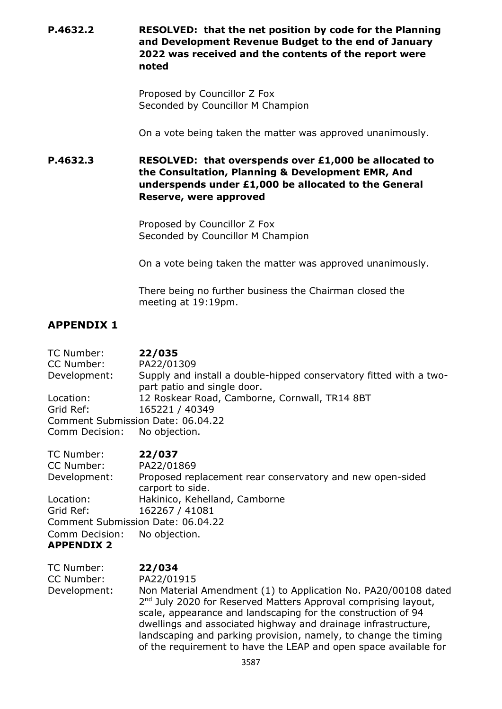**P.4632.2 RESOLVED: that the net position by code for the Planning and Development Revenue Budget to the end of January 2022 was received and the contents of the report were noted**

> Proposed by Councillor Z Fox Seconded by Councillor M Champion

On a vote being taken the matter was approved unanimously.

**P.4632.3 RESOLVED: that overspends over £1,000 be allocated to the Consultation, Planning & Development EMR, And underspends under £1,000 be allocated to the General Reserve, were approved**

> Proposed by Councillor Z Fox Seconded by Councillor M Champion

On a vote being taken the matter was approved unanimously.

There being no further business the Chairman closed the meeting at 19:19pm.

# **APPENDIX 1**

TC Number: **22/035**  CC Number: PA22/01309 Development: Supply and install a double-hipped conservatory fitted with a twopart patio and single door. Location: 12 Roskear Road, Camborne, Cornwall, TR14 8BT Grid Ref: 165221 / 40349 Comment Submission Date: 06.04.22 Comm Decision: No objection.

| TC Number:                   | 22/037                                                    |
|------------------------------|-----------------------------------------------------------|
| CC Number:                   | PA22/01869                                                |
| Development:                 | Proposed replacement rear conservatory and new open-sided |
|                              | carport to side.                                          |
| Location:                    | Hakinico, Kehelland, Camborne                             |
| Grid Ref:                    | 162267 / 41081                                            |
|                              | Comment Submission Date: 06.04.22                         |
| Comm Decision: No objection. |                                                           |
| <b>APPENDIX 2</b>            |                                                           |

| TC Number:   | 22/034                                                                                                                                                                                                                                                                                                                                                                                                               |
|--------------|----------------------------------------------------------------------------------------------------------------------------------------------------------------------------------------------------------------------------------------------------------------------------------------------------------------------------------------------------------------------------------------------------------------------|
| CC Number:   | PA22/01915                                                                                                                                                                                                                                                                                                                                                                                                           |
| Development: | Non Material Amendment (1) to Application No. PA20/00108 dated<br>2 <sup>nd</sup> July 2020 for Reserved Matters Approval comprising layout,<br>scale, appearance and landscaping for the construction of 94<br>dwellings and associated highway and drainage infrastructure,<br>landscaping and parking provision, namely, to change the timing<br>of the requirement to have the LEAP and open space available for |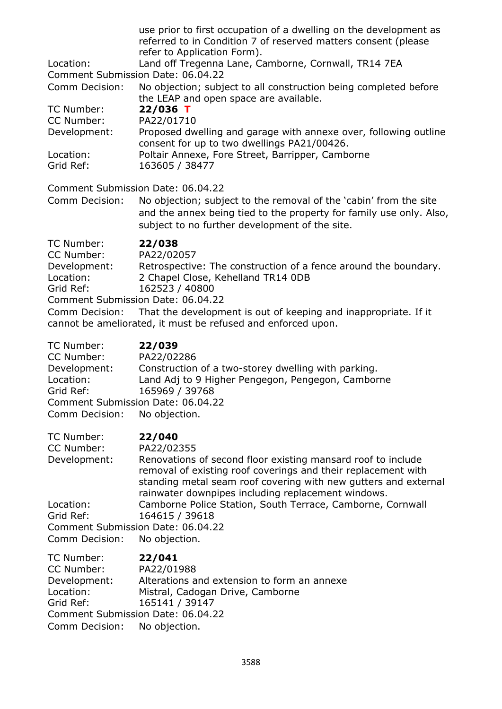| Location:                                                                            | use prior to first occupation of a dwelling on the development as<br>referred to in Condition 7 of reserved matters consent (please<br>refer to Application Form).<br>Land off Tregenna Lane, Camborne, Cornwall, TR14 7EA<br>Comment Submission Date: 06.04.22                                                                                                                                     |
|--------------------------------------------------------------------------------------|-----------------------------------------------------------------------------------------------------------------------------------------------------------------------------------------------------------------------------------------------------------------------------------------------------------------------------------------------------------------------------------------------------|
| Comm Decision:                                                                       | No objection; subject to all construction being completed before<br>the LEAP and open space are available.                                                                                                                                                                                                                                                                                          |
| TC Number:<br>CC Number:                                                             | 22/036 T<br>PA22/01710                                                                                                                                                                                                                                                                                                                                                                              |
| Development:                                                                         | Proposed dwelling and garage with annexe over, following outline<br>consent for up to two dwellings PA21/00426.                                                                                                                                                                                                                                                                                     |
| Location:<br>Grid Ref:                                                               | Poltair Annexe, Fore Street, Barripper, Camborne<br>163605 / 38477                                                                                                                                                                                                                                                                                                                                  |
| Comm Decision:                                                                       | Comment Submission Date: 06.04.22<br>No objection; subject to the removal of the 'cabin' from the site<br>and the annex being tied to the property for family use only. Also,<br>subject to no further development of the site.                                                                                                                                                                     |
| TC Number:<br>CC Number:<br>Development:<br>Location:<br>Grid Ref:<br>Comm Decision: | 22/038<br>PA22/02057<br>Retrospective: The construction of a fence around the boundary.<br>2 Chapel Close, Kehelland TR14 0DB<br>162523 / 40800<br>Comment Submission Date: 06.04.22<br>That the development is out of keeping and inappropriate. If it<br>cannot be ameliorated, it must be refused and enforced upon.                                                                             |
| TC Number:<br>CC Number:<br>Development:<br>Location:<br>Grid Ref:<br>Comm Decision: | 22/039<br>PA22/02286<br>Construction of a two-storey dwelling with parking.<br>Land Adj to 9 Higher Pengegon, Pengegon, Camborne<br>165969 / 39768<br>Comment Submission Date: 06.04.22<br>No objection.                                                                                                                                                                                            |
| TC Number:<br>CC Number:<br>Development:<br>Location:<br>Grid Ref:                   | 22/040<br>PA22/02355<br>Renovations of second floor existing mansard roof to include<br>removal of existing roof coverings and their replacement with<br>standing metal seam roof covering with new gutters and external<br>rainwater downpipes including replacement windows.<br>Camborne Police Station, South Terrace, Camborne, Cornwall<br>164615 / 39618<br>Comment Submission Date: 06.04.22 |
| Comm Decision:<br>TC Number:<br>CC Number:                                           | No objection.<br>22/041<br>PA22/01988                                                                                                                                                                                                                                                                                                                                                               |
| Development:<br>Location:<br>Grid Ref:                                               | Alterations and extension to form an annexe<br>Mistral, Cadogan Drive, Camborne<br>165141 / 39147<br>Comment Submission Date: 06.04.22                                                                                                                                                                                                                                                              |

Comm Decision: No objection.